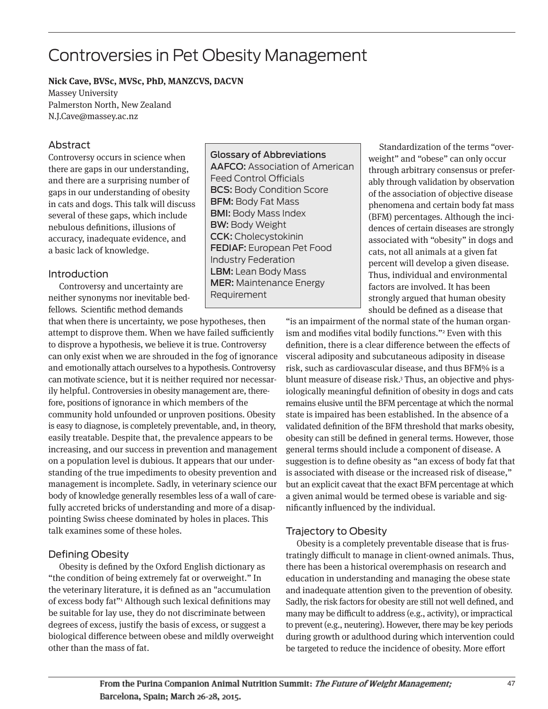# Controversies in Pet Obesity Management

#### **Nick Cave, BVSc, MVSc, PhD, MANZCVS, DACVN**

Massey University Palmerston North, New Zealand N.J.Cave@massey.ac.nz

# Abstract

Controversy occurs in science when there are gaps in our understanding, and there are a surprising number of gaps in our understanding of obesity in cats and dogs. This talk will discuss several of these gaps, which include nebulous definitions, illusions of accuracy, inadequate evidence, and a basic lack of knowledge.

### Introduction

Controversy and uncertainty are neither synonyms nor inevitable bedfellows. Scientific method demands

that when there is uncertainty, we pose hypotheses, then attempt to disprove them. When we have failed sufficiently to disprove a hypothesis, we believe it is true. Controversy can only exist when we are shrouded in the fog of ignorance and emotionally attach ourselves to a hypothesis. Controversy can motivate science, but it is neither required nor necessarily helpful. Controversies in obesity management are, therefore, positions of ignorance in which members of the community hold unfounded or unproven positions. Obesity is easy to diagnose, is completely preventable, and, in theory, easily treatable. Despite that, the prevalence appears to be increasing, and our success in prevention and management on a population level is dubious. It appears that our understanding of the true impediments to obesity prevention and management is incomplete. Sadly, in veterinary science our body of knowledge generally resembles less of a wall of carefully accreted bricks of understanding and more of a disappointing Swiss cheese dominated by holes in places. This talk examines some of these holes.

# Defining Obesity

Obesity is defined by the Oxford English dictionary as "the condition of being extremely fat or overweight." In the veterinary literature, it is defined as an "accumulation of excess body fat"1 Although such lexical definitions may be suitable for lay use, they do not discriminate between degrees of excess, justify the basis of excess, or suggest a biological difference between obese and mildly overweight other than the mass of fat.

Glossary of Abbreviations AAFCO: Association of American Feed Control Officials BCS: Body Condition Score BFM: Body Fat Mass BMI: Body Mass Index BW: Body Weight CCK: Cholecystokinin FEDIAF: European Pet Food Industry Federation LBM: Lean Body Mass MER: Maintenance Energy Requirement

Standardization of the terms "overweight" and "obese" can only occur through arbitrary consensus or preferably through validation by observation of the association of objective disease phenomena and certain body fat mass (BFM) percentages. Although the incidences of certain diseases are strongly associated with "obesity" in dogs and cats, not all animals at a given fat percent will develop a given disease. Thus, individual and environmental factors are involved. It has been strongly argued that human obesity should be defined as a disease that

"is an impairment of the normal state of the human organism and modifies vital bodily functions."2 Even with this definition, there is a clear difference between the effects of visceral adiposity and subcutaneous adiposity in disease risk, such as cardiovascular disease, and thus BFM% is a blunt measure of disease risk.<sup>3</sup> Thus, an objective and physiologically meaningful definition of obesity in dogs and cats remains elusive until the BFM percentage at which the normal state is impaired has been established. In the absence of a validated definition of the BFM threshold that marks obesity, obesity can still be defined in general terms. However, those general terms should include a component of disease. A suggestion is to define obesity as "an excess of body fat that is associated with disease or the increased risk of disease," but an explicit caveat that the exact BFM percentage at which a given animal would be termed obese is variable and significantly influenced by the individual.

# Trajectory to Obesity

Obesity is a completely preventable disease that is frustratingly difficult to manage in client-owned animals. Thus, there has been a historical overemphasis on research and education in understanding and managing the obese state and inadequate attention given to the prevention of obesity. Sadly, the risk factors for obesity are still not well defined, and many may be difficult to address (e.g., activity), or impractical to prevent (e.g., neutering). However, there may be key periods during growth or adulthood during which intervention could be targeted to reduce the incidence of obesity. More effort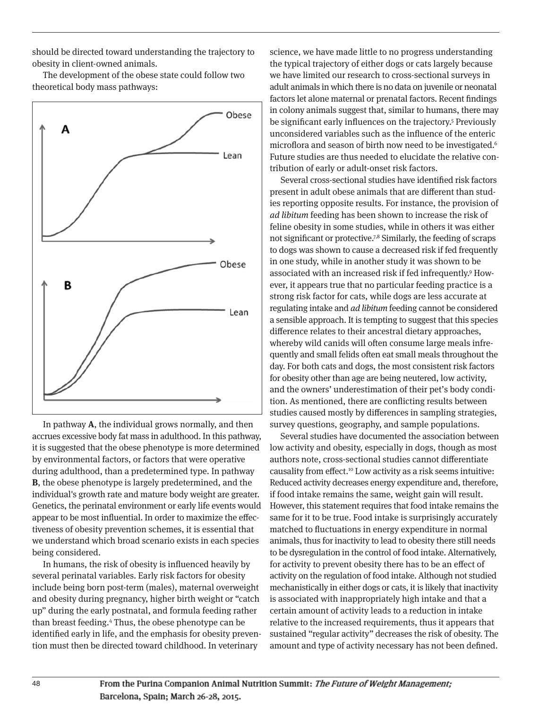should be directed toward understanding the trajectory to obesity in client-owned animals.

The development of the obese state could follow two theoretical body mass pathways:



In pathway **A**, the individual grows normally, and then accrues excessive body fat mass in adulthood. In this pathway, it is suggested that the obese phenotype is more determined by environmental factors, or factors that were operative during adulthood, than a predetermined type. In pathway **B**, the obese phenotype is largely predetermined, and the individual's growth rate and mature body weight are greater. Genetics, the perinatal environment or early life events would appear to be most influential. In order to maximize the effectiveness of obesity prevention schemes, it is essential that we understand which broad scenario exists in each species being considered.

In humans, the risk of obesity is influenced heavily by several perinatal variables. Early risk factors for obesity include being born post-term (males), maternal overweight and obesity during pregnancy, higher birth weight or "catch up" during the early postnatal, and formula feeding rather than breast feeding.4 Thus, the obese phenotype can be identified early in life, and the emphasis for obesity prevention must then be directed toward childhood. In veterinary

science, we have made little to no progress understanding the typical trajectory of either dogs or cats largely because we have limited our research to cross-sectional surveys in adult animals in which there is no data on juvenile or neonatal factors let alone maternal or prenatal factors. Recent findings in colony animals suggest that, similar to humans, there may be significant early influences on the trajectory.<sup>5</sup> Previously unconsidered variables such as the influence of the enteric microflora and season of birth now need to be investigated.<sup>6</sup> Future studies are thus needed to elucidate the relative contribution of early or adult-onset risk factors.

Several cross-sectional studies have identified risk factors present in adult obese animals that are different than studies reporting opposite results. For instance, the provision of ad libitum feeding has been shown to increase the risk of feline obesity in some studies, while in others it was either not significant or protective.<sup>7,8</sup> Similarly, the feeding of scraps to dogs was shown to cause a decreased risk if fed frequently in one study, while in another study it was shown to be associated with an increased risk if fed infrequently.9 However, it appears true that no particular feeding practice is a strong risk factor for cats, while dogs are less accurate at regulating intake and ad libitum feeding cannot be considered a sensible approach. It is tempting to suggest that this species difference relates to their ancestral dietary approaches, whereby wild canids will often consume large meals infrequently and small felids often eat small meals throughout the day. For both cats and dogs, the most consistent risk factors for obesity other than age are being neutered, low activity, and the owners' underestimation of their pet's body condition. As mentioned, there are conflicting results between studies caused mostly by differences in sampling strategies, survey questions, geography, and sample populations.

Several studies have documented the association between low activity and obesity, especially in dogs, though as most authors note, cross-sectional studies cannot differentiate causality from effect.<sup>10</sup> Low activity as a risk seems intuitive: Reduced activity decreases energy expenditure and, therefore, if food intake remains the same, weight gain will result. However, this statement requires that food intake remains the same for it to be true. Food intake is surprisingly accurately matched to fluctuations in energy expenditure in normal animals, thus for inactivity to lead to obesity there still needs to be dysregulation in the control of food intake. Alternatively, for activity to prevent obesity there has to be an effect of activity on the regulation of food intake. Although not studied mechanistically in either dogs or cats, it is likely that inactivity is associated with inappropriately high intake and that a certain amount of activity leads to a reduction in intake relative to the increased requirements, thus it appears that sustained "regular activity" decreases the risk of obesity. The amount and type of activity necessary has not been defined.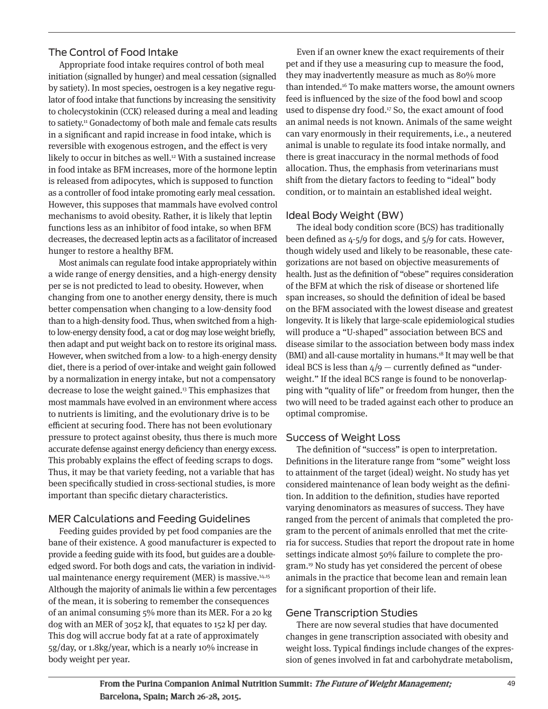# The Control of Food Intake

Appropriate food intake requires control of both meal initiation (signalled by hunger) and meal cessation (signalled by satiety). In most species, oestrogen is a key negative regulator of food intake that functions by increasing the sensitivity to cholecystokinin (CCK) released during a meal and leading to satiety.11 Gonadectomy of both male and female cats results in a significant and rapid increase in food intake, which is reversible with exogenous estrogen, and the effect is very likely to occur in bitches as well.<sup>12</sup> With a sustained increase in food intake as BFM increases, more of the hormone leptin is released from adipocytes, which is supposed to function as a controller of food intake promoting early meal cessation. However, this supposes that mammals have evolved control mechanisms to avoid obesity. Rather, it is likely that leptin functions less as an inhibitor of food intake, so when BFM decreases, the decreased leptin acts as a facilitator of increased hunger to restore a healthy BFM.

Most animals can regulate food intake appropriately within a wide range of energy densities, and a high-energy density per se is not predicted to lead to obesity. However, when changing from one to another energy density, there is much better compensation when changing to a low-density food than to a high-density food. Thus, when switched from a highto low-energy density food, a cat or dog may lose weight briefly, then adapt and put weight back on to restore its original mass. However, when switched from a low- to a high-energy density diet, there is a period of over-intake and weight gain followed by a normalization in energy intake, but not a compensatory decrease to lose the weight gained.13 This emphasizes that most mammals have evolved in an environment where access to nutrients is limiting, and the evolutionary drive is to be efficient at securing food. There has not been evolutionary pressure to protect against obesity, thus there is much more accurate defense against energy deficiency than energy excess. This probably explains the effect of feeding scraps to dogs. Thus, it may be that variety feeding, not a variable that has been specifically studied in cross-sectional studies, is more important than specific dietary characteristics.

# MER Calculations and Feeding Guidelines

Feeding guides provided by pet food companies are the bane of their existence. A good manufacturer is expected to provide a feeding guide with its food, but guides are a doubleedged sword. For both dogs and cats, the variation in individual maintenance energy requirement (MER) is massive. $14,15$ Although the majority of animals lie within a few percentages of the mean, it is sobering to remember the consequences of an animal consuming 5% more than its MER. For a 20 kg dog with an MER of 3052 kJ, that equates to 152 kJ per day. This dog will accrue body fat at a rate of approximately 5g/day, or 1.8kg/year, which is a nearly 10% increase in body weight per year.

Even if an owner knew the exact requirements of their pet and if they use a measuring cup to measure the food, they may inadvertently measure as much as 80% more than intended.16 To make matters worse, the amount owners feed is influenced by the size of the food bowl and scoop used to dispense dry food.<sup>17</sup> So, the exact amount of food an animal needs is not known. Animals of the same weight can vary enormously in their requirements, i.e., a neutered animal is unable to regulate its food intake normally, and there is great inaccuracy in the normal methods of food allocation. Thus, the emphasis from veterinarians must shift from the dietary factors to feeding to "ideal" body condition, or to maintain an established ideal weight.

# Ideal Body Weight (BW)

The ideal body condition score (BCS) has traditionally been defined as 4-5/9 for dogs, and 5/9 for cats. However, though widely used and likely to be reasonable, these categorizations are not based on objective measurements of health. Just as the definition of "obese" requires consideration of the BFM at which the risk of disease or shortened life span increases, so should the definition of ideal be based on the BFM associated with the lowest disease and greatest longevity. It is likely that large-scale epidemiological studies will produce a "U-shaped" association between BCS and disease similar to the association between body mass index (BMI) and all-cause mortality in humans.18 It may well be that ideal BCS is less than  $4/9$  – currently defined as "underweight." If the ideal BCS range is found to be nonoverlapping with "quality of life" or freedom from hunger, then the two will need to be traded against each other to produce an optimal compromise.

# Success of Weight Loss

The definition of "success" is open to interpretation. Definitions in the literature range from "some" weight loss to attainment of the target (ideal) weight. No study has yet considered maintenance of lean body weight as the definition. In addition to the definition, studies have reported varying denominators as measures of success. They have ranged from the percent of animals that completed the program to the percent of animals enrolled that met the criteria for success. Studies that report the dropout rate in home settings indicate almost 50% failure to complete the program.19 No study has yet considered the percent of obese animals in the practice that become lean and remain lean for a significant proportion of their life.

# Gene Transcription Studies

There are now several studies that have documented changes in gene transcription associated with obesity and weight loss. Typical findings include changes of the expression of genes involved in fat and carbohydrate metabolism,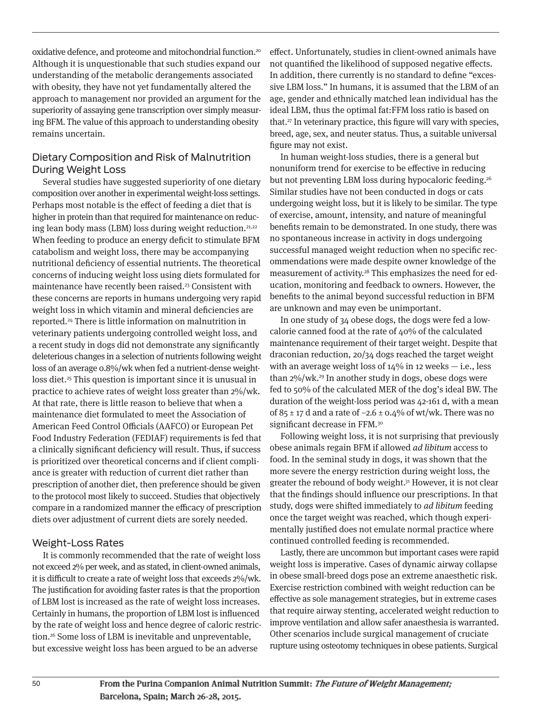oxidative defence, and proteome and mitochondrial function.20 Although it is unquestionable that such studies expand our understanding of the metabolic derangements associated with obesity, they have not yet fundamentally altered the approach to management nor provided an argument for the superiority of assaying gene transcription over simply measuring BFM. The value of this approach to understanding obesity remains uncertain.

## Dietary Composition and Risk of Malnutrition During Weight Loss

Several studies have suggested superiority of one dietary composition over another in experimental weight-loss settings. Perhaps most notable is the effect of feeding a diet that is higher in protein than that required for maintenance on reducing lean body mass (LBM) loss during weight reduction.<sup>21,22</sup> When feeding to produce an energy deficit to stimulate BFM catabolism and weight loss, there may be accompanying nutritional deficiency of essential nutrients. The theoretical concerns of inducing weight loss using diets formulated for maintenance have recently been raised.<sup>23</sup> Consistent with these concerns are reports in humans undergoing very rapid weight loss in which vitamin and mineral deficiencies are reported.24 There is little information on malnutrition in veterinary patients undergoing controlled weight loss, and a recent study in dogs did not demonstrate any significantly deleterious changes in a selection of nutrients following weight loss of an average 0.8%/wk when fed a nutrient-dense weightloss diet.25 This question is important since it is unusual in practice to achieve rates of weight loss greater than 2%/wk. At that rate, there is little reason to believe that when a maintenance diet formulated to meet the Association of American Feed Control Officials (AAFCO) or European Pet Food Industry Federation (FEDIAF) requirements is fed that a clinically significant deficiency will result. Thus, if success is prioritized over theoretical concerns and if client compliance is greater with reduction of current diet rather than prescription of another diet, then preference should be given to the protocol most likely to succeed. Studies that objectively compare in a randomized manner the efficacy of prescription diets over adjustment of current diets are sorely needed.

#### Weight-Loss Rates

It is commonly recommended that the rate of weight loss not exceed 2% per week, and as stated, in client-owned animals, it is difficult to create a rate of weight loss that exceeds 2%/wk. The justification for avoiding faster rates is that the proportion of LBM lost is increased as the rate of weight loss increases. Certainly in humans, the proportion of LBM lost is influenced by the rate of weight loss and hence degree of caloric restriction.26 Some loss of LBM is inevitable and unpreventable, but excessive weight loss has been argued to be an adverse

effect. Unfortunately, studies in client-owned animals have not quantified the likelihood of supposed negative effects. In addition, there currently is no standard to define "excessive LBM loss." In humans, it is assumed that the LBM of an age, gender and ethnically matched lean individual has the ideal LBM, thus the optimal fat:FFM loss ratio is based on that.27 In veterinary practice, this figure will vary with species, breed, age, sex, and neuter status. Thus, a suitable universal figure may not exist.

In human weight-loss studies, there is a general but nonuniform trend for exercise to be effective in reducing but not preventing LBM loss during hypocaloric feeding.<sup>26</sup> Similar studies have not been conducted in dogs or cats undergoing weight loss, but it is likely to be similar. The type of exercise, amount, intensity, and nature of meaningful benefits remain to be demonstrated. In one study, there was no spontaneous increase in activity in dogs undergoing successful managed weight reduction when no specific recommendations were made despite owner knowledge of the measurement of activity.<sup>28</sup> This emphasizes the need for education, monitoring and feedback to owners. However, the benefits to the animal beyond successful reduction in BFM are unknown and may even be unimportant.

In one study of 34 obese dogs, the dogs were fed a lowcalorie canned food at the rate of 40% of the calculated maintenance requirement of their target weight. Despite that draconian reduction, 20/34 dogs reached the target weight with an average weight loss of  $14\%$  in 12 weeks  $-$  i.e., less than  $2\%/w$ k.<sup>29</sup> In another study in dogs, obese dogs were fed to 50% of the calculated MER of the dog's ideal BW. The duration of the weight-loss period was 42-161 d, with a mean of 85 ± 17 d and a rate of  $-2.6 \pm 0.4\%$  of wt/wk. There was no significant decrease in FFM.<sup>30</sup>

Following weight loss, it is not surprising that previously obese animals regain BFM if allowed ad libitum access to food. In the seminal study in dogs, it was shown that the more severe the energy restriction during weight loss, the greater the rebound of body weight.<sup>31</sup> However, it is not clear that the findings should influence our prescriptions. In that study, dogs were shifted immediately to ad libitum feeding once the target weight was reached, which though experimentally justified does not emulate normal practice where continued controlled feeding is recommended.

Lastly, there are uncommon but important cases were rapid weight loss is imperative. Cases of dynamic airway collapse in obese small-breed dogs pose an extreme anaesthetic risk. Exercise restriction combined with weight reduction can be effective as sole management strategies, but in extreme cases that require airway stenting, accelerated weight reduction to improve ventilation and allow safer anaesthesia is warranted. Other scenarios include surgical management of cruciate rupture using osteotomy techniques in obese patients. Surgical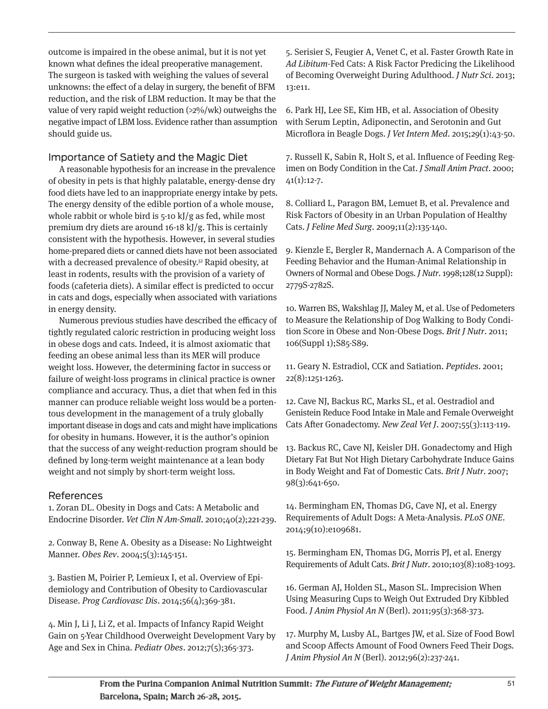outcome is impaired in the obese animal, but it is not yet known what defines the ideal preoperative management. The surgeon is tasked with weighing the values of several unknowns: the effect of a delay in surgery, the benefit of BFM reduction, and the risk of LBM reduction. It may be that the value of very rapid weight reduction (>2%/wk) outweighs the negative impact of LBM loss. Evidence rather than assumption should guide us.

# Importance of Satiety and the Magic Diet

A reasonable hypothesis for an increase in the prevalence of obesity in pets is that highly palatable, energy-dense dry food diets have led to an inappropriate energy intake by pets. The energy density of the edible portion of a whole mouse, whole rabbit or whole bird is 5-10 kJ/g as fed, while most premium dry diets are around 16-18 kJ/g. This is certainly consistent with the hypothesis. However, in several studies home-prepared diets or canned diets have not been associated with a decreased prevalence of obesity.<sup>32</sup> Rapid obesity, at least in rodents, results with the provision of a variety of foods (cafeteria diets). A similar effect is predicted to occur in cats and dogs, especially when associated with variations in energy density.

Numerous previous studies have described the efficacy of tightly regulated caloric restriction in producing weight loss in obese dogs and cats. Indeed, it is almost axiomatic that feeding an obese animal less than its MER will produce weight loss. However, the determining factor in success or failure of weight-loss programs in clinical practice is owner compliance and accuracy. Thus, a diet that when fed in this manner can produce reliable weight loss would be a portentous development in the management of a truly globally important disease in dogs and cats and might have implications for obesity in humans. However, it is the author's opinion that the success of any weight-reduction program should be defined by long-term weight maintenance at a lean body weight and not simply by short-term weight loss.

# References

1. Zoran DL. Obesity in Dogs and Cats: A Metabolic and Endocrine Disorder. Vet Clin N Am-Small. 2010;40(2);221-239.

2. Conway B, Rene A. Obesity as a Disease: No Lightweight Manner. Obes Rev. 2004;5(3):145-151.

3. Bastien M, Poirier P, Lemieux I, et al. Overview of Epidemiology and Contribution of Obesity to Cardiovascular Disease. Prog Cardiovasc Dis. 2014;56(4);369-381.

4. Min J, Li J, Li Z, et al. Impacts of Infancy Rapid Weight Gain on 5-Year Childhood Overweight Development Vary by Age and Sex in China. Pediatr Obes. 2012;7(5);365-373.

5. Serisier S, Feugier A, Venet C, et al. Faster Growth Rate in Ad Libitum-Fed Cats: A Risk Factor Predicing the Likelihood of Becoming Overweight During Adulthood. J Nutr Sci. 2013; 13:e11.

6. Park HJ, Lee SE, Kim HB, et al. Association of Obesity with Serum Leptin, Adiponectin, and Serotonin and Gut Microflora in Beagle Dogs. J Vet Intern Med. 2015;29(1):43-50.

7. Russell K, Sabin R, Holt S, et al. Influence of Feeding Regimen on Body Condition in the Cat. J Small Anim Pract. 2000;  $41(1):12-7.$ 

8. Colliard L, Paragon BM, Lemuet B, et al. Prevalence and Risk Factors of Obesity in an Urban Population of Healthy Cats. J Feline Med Surg. 2009;11(2):135-140.

9. Kienzle E, Bergler R, Mandernach A. A Comparison of the Feeding Behavior and the Human-Animal Relationship in Owners of Normal and Obese Dogs. J Nutr. 1998;128(12 Suppl): 2779S-2782S.

10. Warren BS, Wakshlag JJ, Maley M, et al. Use of Pedometers to Measure the Relationship of Dog Walking to Body Condition Score in Obese and Non-Obese Dogs. Brit J Nutr. 2011; 106(Suppl 1);S85-S89.

11. Geary N. Estradiol, CCK and Satiation. Peptides. 2001; 22(8):1251-1263.

12. Cave NJ, Backus RC, Marks SL, et al. Oestradiol and Genistein Reduce Food Intake in Male and Female Overweight Cats After Gonadectomy. New Zeal Vet J. 2007;55(3):113-119.

13. Backus RC, Cave NJ, Keisler DH. Gonadectomy and High Dietary Fat But Not High Dietary Carbohydrate Induce Gains in Body Weight and Fat of Domestic Cats. Brit J Nutr. 2007; 98(3):641-650.

14. Bermingham EN, Thomas DG, Cave NJ, et al. Energy Requirements of Adult Dogs: A Meta-Analysis. PLoS ONE. 2014;9(10):e109681.

15. Bermingham EN, Thomas DG, Morris PJ, et al. Energy Requirements of Adult Cats. Brit J Nutr. 2010;103(8):1083-1093.

16. German AJ, Holden SL, Mason SL. Imprecision When Using Measuring Cups to Weigh Out Extruded Dry Kibbled Food. J Anim Physiol An N (Berl). 2011;95(3):368-373.

17. Murphy M, Lusby AL, Bartges JW, et al. Size of Food Bowl and Scoop Affects Amount of Food Owners Feed Their Dogs. J Anim Physiol An N (Berl). 2012;96(2):237-241.